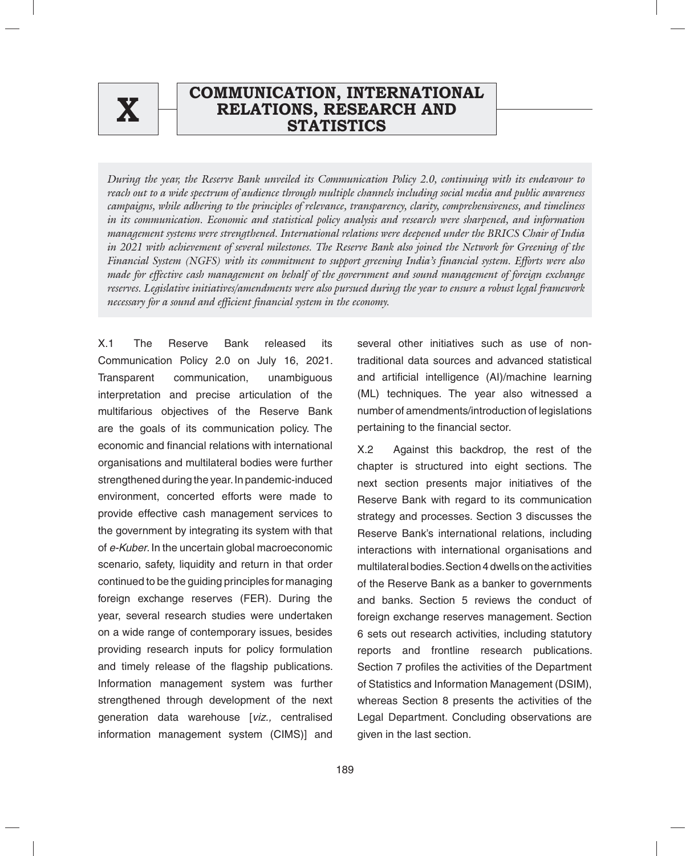

# **NICATION INTEDNATI RESEARCH AND STATISTICS COMMUNICATION, INTERNATIONAL**   $\mathbf{X}$  **RELATIONS, RESEARCH AND STATISTICS**

*During the year, the Reserve Bank unveiled its Communication Policy 2.0, continuing with its endeavour to reach out to a wide spectrum of audience through multiple channels including social media and public awareness campaigns, while adhering to the principles of relevance, transparency, clarity, comprehensiveness, and timeliness in its communication. Economic and statistical policy analysis and research were sharpened, and information management systems were strengthened. International relations were deepened under the BRICS Chair of India in 2021 with achievement of several milestones. The Reserve Bank also joined the Network for Greening of the Financial System (NGFS) with its commitment to support greening India's financial system. Efforts were also made for effective cash management on behalf of the government and sound management of foreign exchange reserves. Legislative initiatives/amendments were also pursued during the year to ensure a robust legal framework necessary for a sound and efficient financial system in the economy.*

X.1 The Reserve Bank released its Communication Policy 2.0 on July 16, 2021. Transparent communication, unambiguous interpretation and precise articulation of the multifarious objectives of the Reserve Bank are the goals of its communication policy. The economic and financial relations with international organisations and multilateral bodies were further strengthened during the year. In pandemic-induced environment, concerted efforts were made to provide effective cash management services to the government by integrating its system with that of *e-Kuber*. In the uncertain global macroeconomic scenario, safety, liquidity and return in that order continued to be the guiding principles for managing foreign exchange reserves (FER). During the year, several research studies were undertaken on a wide range of contemporary issues, besides providing research inputs for policy formulation and timely release of the flagship publications. Information management system was further strengthened through development of the next generation data warehouse [*viz.,* centralised information management system (CIMS)] and

several other initiatives such as use of nontraditional data sources and advanced statistical and artificial intelligence (AI)/machine learning (ML) techniques. The year also witnessed a number of amendments/introduction of legislations pertaining to the financial sector.

X.2 Against this backdrop, the rest of the chapter is structured into eight sections. The next section presents major initiatives of the Reserve Bank with regard to its communication strategy and processes. Section 3 discusses the Reserve Bank's international relations, including interactions with international organisations and multilateral bodies. Section 4 dwells on the activities of the Reserve Bank as a banker to governments and banks. Section 5 reviews the conduct of foreign exchange reserves management. Section 6 sets out research activities, including statutory reports and frontline research publications. Section 7 profiles the activities of the Department of Statistics and Information Management (DSIM), whereas Section 8 presents the activities of the Legal Department. Concluding observations are given in the last section.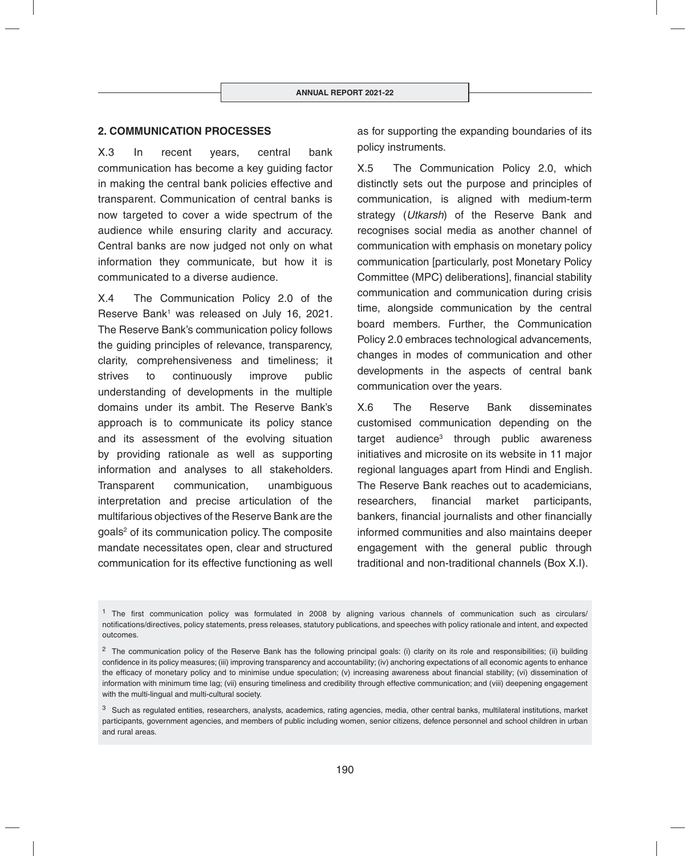### **2. COMMUNICATION PROCESSES**

X.3 In recent years, central bank communication has become a key guiding factor in making the central bank policies effective and transparent. Communication of central banks is now targeted to cover a wide spectrum of the audience while ensuring clarity and accuracy. Central banks are now judged not only on what information they communicate, but how it is communicated to a diverse audience.

X.4 The Communication Policy 2.0 of the Reserve Bank<sup>1</sup> was released on July 16, 2021. The Reserve Bank's communication policy follows the guiding principles of relevance, transparency, clarity, comprehensiveness and timeliness; it strives to continuously improve public understanding of developments in the multiple domains under its ambit. The Reserve Bank's approach is to communicate its policy stance and its assessment of the evolving situation by providing rationale as well as supporting information and analyses to all stakeholders. Transparent communication, unambiguous interpretation and precise articulation of the multifarious objectives of the Reserve Bank are the goals<sup>2</sup> of its communication policy. The composite mandate necessitates open, clear and structured communication for its effective functioning as well as for supporting the expanding boundaries of its policy instruments.

X.5 The Communication Policy 2.0, which distinctly sets out the purpose and principles of communication, is aligned with medium-term strategy (*Utkarsh*) of the Reserve Bank and recognises social media as another channel of communication with emphasis on monetary policy communication [particularly, post Monetary Policy Committee (MPC) deliberations], financial stability communication and communication during crisis time, alongside communication by the central board members. Further, the Communication Policy 2.0 embraces technological advancements, changes in modes of communication and other developments in the aspects of central bank communication over the years.

X.6 The Reserve Bank disseminates customised communication depending on the target audience<sup>3</sup> through public awareness initiatives and microsite on its website in 11 major regional languages apart from Hindi and English. The Reserve Bank reaches out to academicians, researchers, financial market participants, bankers, financial journalists and other financially informed communities and also maintains deeper engagement with the general public through traditional and non-traditional channels (Box X.I).

 $1$  The first communication policy was formulated in 2008 by aligning various channels of communication such as circulars/ notifi cations/directives, policy statements, press releases, statutory publications, and speeches with policy rationale and intent, and expected outcomes.

<sup>&</sup>lt;sup>2</sup> The communication policy of the Reserve Bank has the following principal goals: (i) clarity on its role and responsibilities; (ii) building confidence in its policy measures; (iii) improving transparency and accountability; (iv) anchoring expectations of all economic agents to enhance the efficacy of monetary policy and to minimise undue speculation; (v) increasing awareness about financial stability; (vi) dissemination of information with minimum time lag; (vii) ensuring timeliness and credibility through effective communication; and (viii) deepening engagement with the multi-lingual and multi-cultural society.

<sup>&</sup>lt;sup>3</sup> Such as regulated entities, researchers, analysts, academics, rating agencies, media, other central banks, multilateral institutions, market participants, government agencies, and members of public including women, senior citizens, defence personnel and school children in urban and rural areas.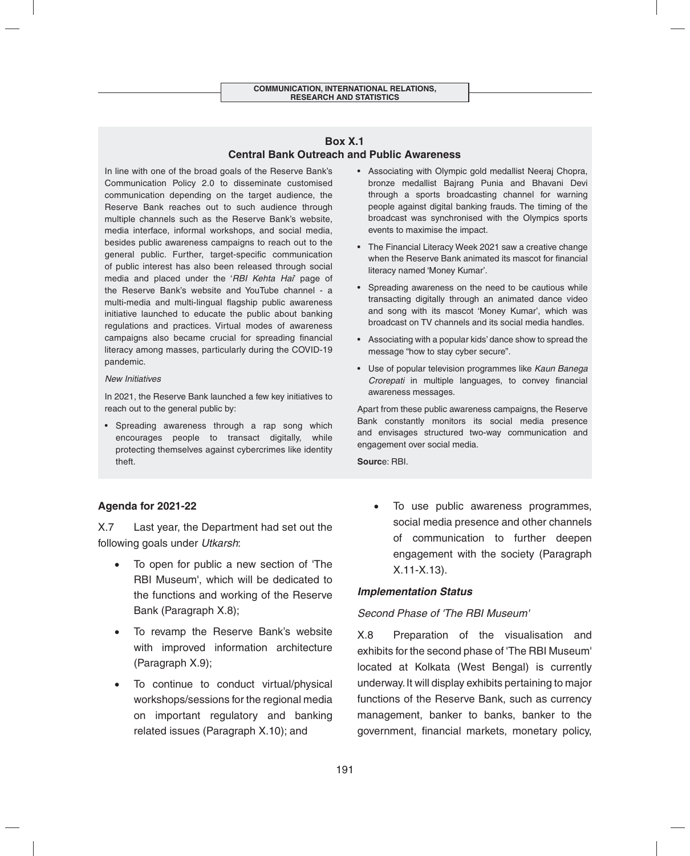### **Box X.1 Central Bank Outreach and Public Awareness**

In line with one of the broad goals of the Reserve Bank's Communication Policy 2.0 to disseminate customised communication depending on the target audience, the Reserve Bank reaches out to such audience through multiple channels such as the Reserve Bank's website, media interface, informal workshops, and social media, besides public awareness campaigns to reach out to the general public. Further, target-specific communication of public interest has also been released through social media and placed under the '*RBI Kehta Hai*' page of the Reserve Bank's website and YouTube channel - a multi-media and multi-lingual flagship public awareness initiative launched to educate the public about banking regulations and practices. Virtual modes of awareness campaigns also became crucial for spreading financial literacy among masses, particularly during the COVID-19 pandemic.

#### *New Initiatives*

In 2021, the Reserve Bank launched a few key initiatives to reach out to the general public by:

• Spreading awareness through a rap song which encourages people to transact digitally, while protecting themselves against cybercrimes like identity theft.

- Associating with Olympic gold medallist Neeraj Chopra, bronze medallist Bajrang Punia and Bhavani Devi through a sports broadcasting channel for warning people against digital banking frauds. The timing of the broadcast was synchronised with the Olympics sports events to maximise the impact.
- The Financial Literacy Week 2021 saw a creative change when the Reserve Bank animated its mascot for financial literacy named 'Money Kumar'.
- Spreading awareness on the need to be cautious while transacting digitally through an animated dance video and song with its mascot 'Money Kumar', which was broadcast on TV channels and its social media handles.
- Associating with a popular kids' dance show to spread the message "how to stay cyber secure".
- Use of popular television programmes like *Kaun Banega Crorepati* in multiple languages, to convey financial awareness messages.

Apart from these public awareness campaigns, the Reserve Bank constantly monitors its social media presence and envisages structured two-way communication and engagement over social media.

**Sourc**e: RBI.

# **Agenda for 2021-22**

X.7 Last year, the Department had set out the following goals under *Utkarsh*:

- To open for public a new section of 'The RBI Museum', which will be dedicated to the functions and working of the Reserve Bank (Paragraph X.8);
- To revamp the Reserve Bank's website with improved information architecture (Paragraph X.9);
- To continue to conduct virtual/physical workshops/sessions for the regional media on important regulatory and banking related issues (Paragraph X.10); and

 To use public awareness programmes, social media presence and other channels of communication to further deepen engagement with the society (Paragraph X.11-X.13).

### *Implementation Status*

### *Second Phase of 'The RBI Museum'*

X.8 Preparation of the visualisation and exhibits for the second phase of 'The RBI Museum' located at Kolkata (West Bengal) is currently underway. It will display exhibits pertaining to major functions of the Reserve Bank, such as currency management, banker to banks, banker to the government, financial markets, monetary policy,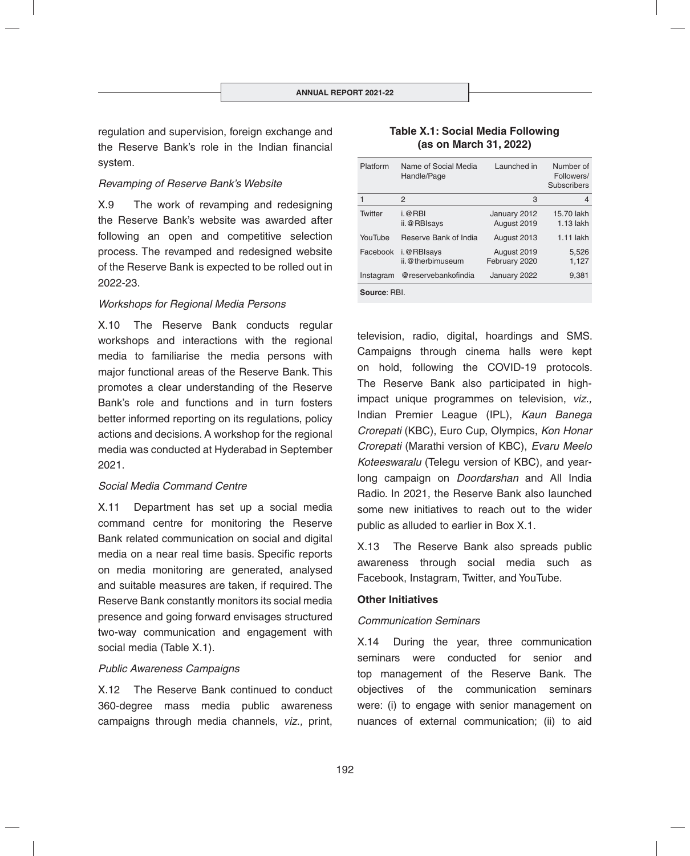regulation and supervision, foreign exchange and the Reserve Bank's role in the Indian financial system.

### *Revamping of Reserve Bank's Website*

X.9 The work of revamping and redesigning the Reserve Bank's website was awarded after following an open and competitive selection process. The revamped and redesigned website of the Reserve Bank is expected to be rolled out in 2022-23.

#### *Workshops for Regional Media Persons*

X.10 The Reserve Bank conducts regular workshops and interactions with the regional media to familiarise the media persons with major functional areas of the Reserve Bank. This promotes a clear understanding of the Reserve Bank's role and functions and in turn fosters better informed reporting on its regulations, policy actions and decisions. A workshop for the regional media was conducted at Hyderabad in September 2021.

### *Social Media Command Centre*

X.11 Department has set up a social media command centre for monitoring the Reserve Bank related communication on social and digital media on a near real time basis. Specific reports on media monitoring are generated, analysed and suitable measures are taken, if required. The Reserve Bank constantly monitors its social media presence and going forward envisages structured two-way communication and engagement with social media (Table X.1).

### *Public Awareness Campaigns*

X.12 The Reserve Bank continued to conduct 360-degree mass media public awareness campaigns through media channels, *viz.,* print,

### **Table X.1: Social Media Following (as on March 31, 2022)**

| Platform     | Name of Social Media<br>Handle/Page | Launched in                  | Number of<br>Followers/<br>Subscribers |
|--------------|-------------------------------------|------------------------------|----------------------------------------|
|              | 2                                   | 3                            | 4                                      |
| Twitter      | $i.@$ RBI<br>ii. @ RBIsays          | January 2012<br>August 2019  | 15.70 lakh<br>$1.13$ lakh              |
| YouTube      | Reserve Bank of India               | August 2013                  | $1.11$ lakh                            |
| Facebook     | i.@RBIsays<br>ii.@therbimuseum      | August 2019<br>February 2020 | 5,526<br>1,127                         |
| Instagram    | @reservebankofindia                 | January 2022                 | 9,381                                  |
| Source: RBI. |                                     |                              |                                        |

television, radio, digital, hoardings and SMS. Campaigns through cinema halls were kept on hold, following the COVID-19 protocols. The Reserve Bank also participated in highimpact unique programmes on television, *viz.,* Indian Premier League (IPL), *Kaun Banega Crorepati* (KBC), Euro Cup, Olympics, *Kon Honar Crorepati* (Marathi version of KBC), *Evaru Meelo Koteeswaralu* (Telegu version of KBC), and yearlong campaign on *Doordarshan* and All India Radio. In 2021, the Reserve Bank also launched some new initiatives to reach out to the wider public as alluded to earlier in Box X.1.

X.13 The Reserve Bank also spreads public awareness through social media such as Facebook, Instagram, Twitter, and YouTube.

### **Other Initiatives**

### *Communication Seminars*

X.14 During the year, three communication seminars were conducted for senior and top management of the Reserve Bank. The objectives of the communication seminars were: (i) to engage with senior management on nuances of external communication; (ii) to aid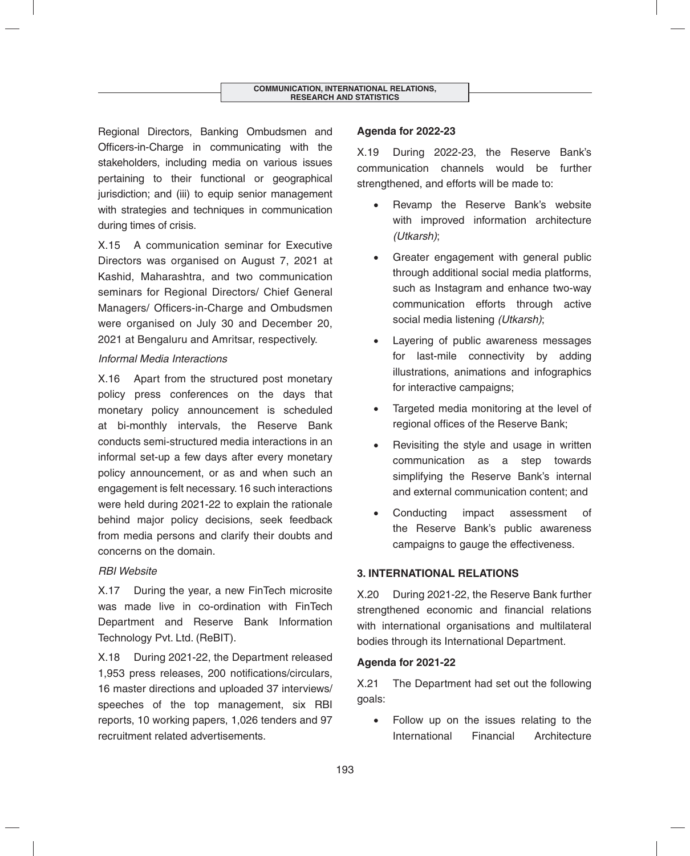Regional Directors, Banking Ombudsmen and Officers-in-Charge in communicating with the stakeholders, including media on various issues pertaining to their functional or geographical jurisdiction; and (iii) to equip senior management with strategies and techniques in communication during times of crisis.

X.15 A communication seminar for Executive Directors was organised on August 7, 2021 at Kashid, Maharashtra, and two communication seminars for Regional Directors/ Chief General Managers/ Officers-in-Charge and Ombudsmen were organised on July 30 and December 20, 2021 at Bengaluru and Amritsar, respectively.

### *Informal Media Interactions*

X.16 Apart from the structured post monetary policy press conferences on the days that monetary policy announcement is scheduled at bi-monthly intervals, the Reserve Bank conducts semi-structured media interactions in an informal set-up a few days after every monetary policy announcement, or as and when such an engagement is felt necessary. 16 such interactions were held during 2021-22 to explain the rationale behind major policy decisions, seek feedback from media persons and clarify their doubts and concerns on the domain.

# *RBI Website*

X.17 During the year, a new FinTech microsite was made live in co-ordination with FinTech Department and Reserve Bank Information Technology Pvt. Ltd. (ReBIT).

X.18 During 2021-22, the Department released 1,953 press releases, 200 notifications/circulars, 16 master directions and uploaded 37 interviews/ speeches of the top management, six RBI reports, 10 working papers, 1,026 tenders and 97 recruitment related advertisements.

### **Agenda for 2022-23**

X.19 During 2022-23, the Reserve Bank's communication channels would be further strengthened, and efforts will be made to:

- Revamp the Reserve Bank's website with improved information architecture *(Utkarsh)*;
- Greater engagement with general public through additional social media platforms, such as Instagram and enhance two-way communication efforts through active social media listening *(Utkarsh)*;
- Layering of public awareness messages for last-mile connectivity by adding illustrations, animations and infographics for interactive campaigns;
- Targeted media monitoring at the level of regional offices of the Reserve Bank;
- Revisiting the style and usage in written communication as a step towards simplifying the Reserve Bank's internal and external communication content; and
- Conducting impact assessment of the Reserve Bank's public awareness campaigns to gauge the effectiveness.

# **3. INTERNATIONAL RELATIONS**

X.20 During 2021-22, the Reserve Bank further strengthened economic and financial relations with international organisations and multilateral bodies through its International Department.

### **Agenda for 2021-22**

X.21 The Department had set out the following goals:

 Follow up on the issues relating to the International Financial Architecture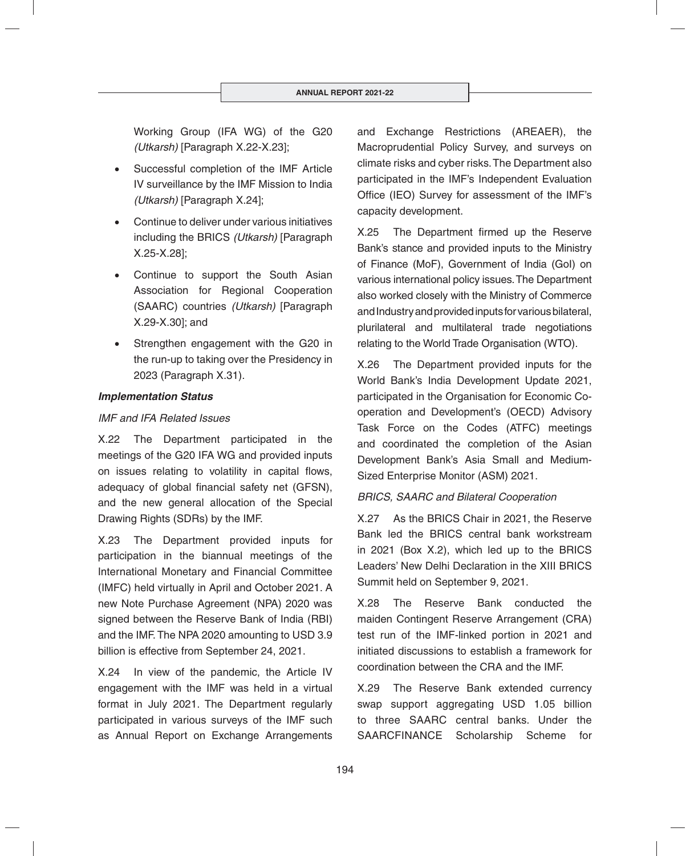Working Group (IFA WG) of the G20 *(Utkarsh)* [Paragraph X.22-X.23];

- Successful completion of the IMF Article IV surveillance by the IMF Mission to India *(Utkarsh)* [Paragraph X.24];
- Continue to deliver under various initiatives including the BRICS *(Utkarsh)* [Paragraph X.25-X.28];
- Continue to support the South Asian Association for Regional Cooperation (SAARC) countries *(Utkarsh)* [Paragraph X.29-X.30]; and
- Strengthen engagement with the G20 in the run-up to taking over the Presidency in 2023 (Paragraph X.31).

### *Implementation Status*

### *IMF and IFA Related Issues*

X.22 The Department participated in the meetings of the G20 IFA WG and provided inputs on issues relating to volatility in capital flows, adequacy of global financial safety net (GFSN). and the new general allocation of the Special Drawing Rights (SDRs) by the IMF.

X.23 The Department provided inputs for participation in the biannual meetings of the International Monetary and Financial Committee (IMFC) held virtually in April and October 2021. A new Note Purchase Agreement (NPA) 2020 was signed between the Reserve Bank of India (RBI) and the IMF. The NPA 2020 amounting to USD 3.9 billion is effective from September 24, 2021.

X.24 In view of the pandemic, the Article IV engagement with the IMF was held in a virtual format in July 2021. The Department regularly participated in various surveys of the IMF such as Annual Report on Exchange Arrangements

and Exchange Restrictions (AREAER), the Macroprudential Policy Survey, and surveys on climate risks and cyber risks. The Department also participated in the IMF's Independent Evaluation Office (IEO) Survey for assessment of the IMF's capacity development.

X.25 The Department firmed up the Reserve Bank's stance and provided inputs to the Ministry of Finance (MoF), Government of India (GoI) on various international policy issues. The Department also worked closely with the Ministry of Commerce and Industry and provided inputs for various bilateral, plurilateral and multilateral trade negotiations relating to the World Trade Organisation (WTO).

X.26 The Department provided inputs for the World Bank's India Development Update 2021, participated in the Organisation for Economic Cooperation and Development's (OECD) Advisory Task Force on the Codes (ATFC) meetings and coordinated the completion of the Asian Development Bank's Asia Small and Medium-Sized Enterprise Monitor (ASM) 2021.

# *BRICS, SAARC and Bilateral Cooperation*

X.27 As the BRICS Chair in 2021, the Reserve Bank led the BRICS central bank workstream in 2021 (Box X.2), which led up to the BRICS Leaders' New Delhi Declaration in the XIII BRICS Summit held on September 9, 2021.

X.28 The Reserve Bank conducted the maiden Contingent Reserve Arrangement (CRA) test run of the IMF-linked portion in 2021 and initiated discussions to establish a framework for coordination between the CRA and the IMF.

X.29 The Reserve Bank extended currency swap support aggregating USD 1.05 billion to three SAARC central banks. Under the SAARCFINANCE Scholarship Scheme for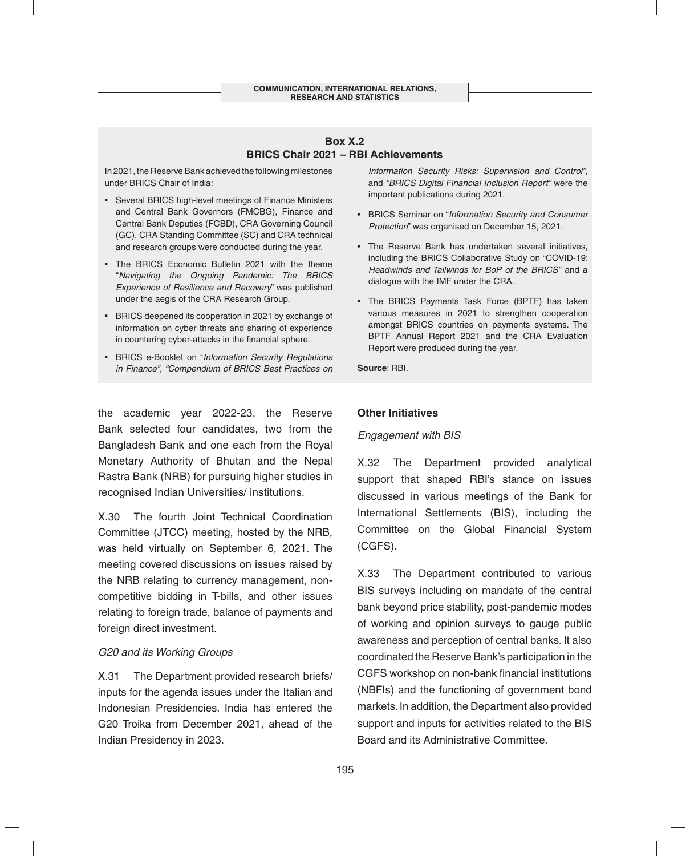### **Box X.2 BRICS Chair 2021 – RBI Achievements**

In 2021, the Reserve Bank achieved the following milestones under BRICS Chair of India:

- Several BRICS high-level meetings of Finance Ministers and Central Bank Governors (FMCBG), Finance and Central Bank Deputies (FCBD), CRA Governing Council (GC), CRA Standing Committee (SC) and CRA technical and research groups were conducted during the year.
- The BRICS Economic Bulletin 2021 with the theme "*Navigating the Ongoing Pandemic: The BRICS Experience of Resilience and Recovery*" was published under the aegis of the CRA Research Group.
- BRICS deepened its cooperation in 2021 by exchange of information on cyber threats and sharing of experience in countering cyber-attacks in the financial sphere.
- BRICS e-Booklet on "*Information Security Regulations in Finance", "Compendium of BRICS Best Practices on*

the academic year 2022-23, the Reserve Bank selected four candidates, two from the Bangladesh Bank and one each from the Royal Monetary Authority of Bhutan and the Nepal Rastra Bank (NRB) for pursuing higher studies in recognised Indian Universities/ institutions.

X.30 The fourth Joint Technical Coordination Committee (JTCC) meeting, hosted by the NRB, was held virtually on September 6, 2021. The meeting covered discussions on issues raised by the NRB relating to currency management, noncompetitive bidding in T-bills, and other issues relating to foreign trade, balance of payments and foreign direct investment.

# *G20 and its Working Groups*

X.31 The Department provided research briefs/ inputs for the agenda issues under the Italian and Indonesian Presidencies. India has entered the G20 Troika from December 2021, ahead of the Indian Presidency in 2023.

*Information Security Risks: Supervision and Control"*, and *"BRICS Digital Financial Inclusion Report"* were the important publications during 2021.

- BRICS Seminar on "*Information Security and Consumer Protection*" was organised on December 15, 2021.
- The Reserve Bank has undertaken several initiatives, including the BRICS Collaborative Study on "COVID-19: *Headwinds and Tailwinds for BoP of the BRICS*" and a dialogue with the IMF under the CRA.
- The BRICS Payments Task Force (BPTF) has taken various measures in 2021 to strengthen cooperation amongst BRICS countries on payments systems. The BPTF Annual Report 2021 and the CRA Evaluation Report were produced during the year.

**Source**: RBI.

### **Other Initiatives**

# *Engagement with BIS*

X.32 The Department provided analytical support that shaped RBI's stance on issues discussed in various meetings of the Bank for International Settlements (BIS), including the Committee on the Global Financial System (CGFS).

X.33 The Department contributed to various BIS surveys including on mandate of the central bank beyond price stability, post-pandemic modes of working and opinion surveys to gauge public awareness and perception of central banks. It also coordinated the Reserve Bank's participation in the CGFS workshop on non-bank financial institutions (NBFIs) and the functioning of government bond markets. In addition, the Department also provided support and inputs for activities related to the BIS Board and its Administrative Committee.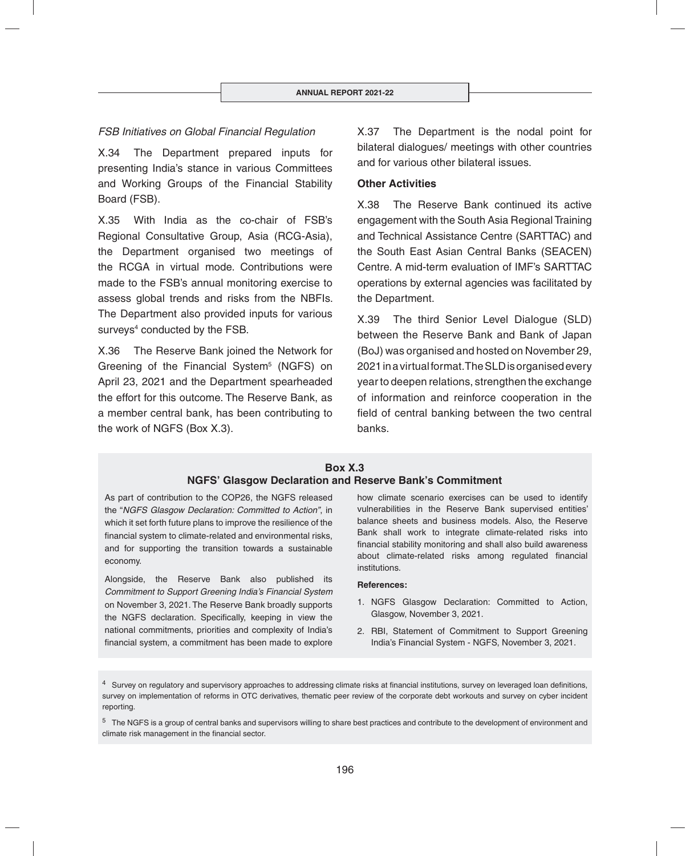### *FSB Initiatives on Global Financial Regulation*

X.34 The Department prepared inputs for presenting India's stance in various Committees and Working Groups of the Financial Stability Board (FSB).

X.35 With India as the co-chair of FSB's Regional Consultative Group, Asia (RCG-Asia), the Department organised two meetings of the RCGA in virtual mode. Contributions were made to the FSB's annual monitoring exercise to assess global trends and risks from the NBFIs. The Department also provided inputs for various surveys<sup>4</sup> conducted by the FSB.

X.36 The Reserve Bank joined the Network for Greening of the Financial System<sup>5</sup> (NGFS) on April 23, 2021 and the Department spearheaded the effort for this outcome. The Reserve Bank, as a member central bank, has been contributing to the work of NGFS (Box X.3).

X.37 The Department is the nodal point for bilateral dialogues/ meetings with other countries and for various other bilateral issues.

### **Other Activities**

X.38 The Reserve Bank continued its active engagement with the South Asia Regional Training and Technical Assistance Centre (SARTTAC) and the South East Asian Central Banks (SEACEN) Centre. A mid-term evaluation of IMF's SARTTAC operations by external agencies was facilitated by the Department.

X.39 The third Senior Level Dialogue (SLD) between the Reserve Bank and Bank of Japan (BoJ) was organised and hosted on November 29, 2021 in a virtual format. The SLD is organised every year to deepen relations, strengthen the exchange of information and reinforce cooperation in the field of central banking between the two central banks.

# **Box X.3 NGFS' Glasgow Declaration and Reserve Bank's Commitment**

As part of contribution to the COP26, the NGFS released the "*NGFS Glasgow Declaration: Committed to Action"*, in which it set forth future plans to improve the resilience of the financial system to climate-related and environmental risks, and for supporting the transition towards a sustainable economy.

Alongside, the Reserve Bank also published its *Commitment to Support Greening India's Financial System* on November 3, 2021. The Reserve Bank broadly supports the NGFS declaration. Specifically, keeping in view the national commitments, priorities and complexity of India's financial system, a commitment has been made to explore

how climate scenario exercises can be used to identify vulnerabilities in the Reserve Bank supervised entities' balance sheets and business models. Also, the Reserve Bank shall work to integrate climate-related risks into financial stability monitoring and shall also build awareness about climate-related risks among regulated financial institutions.

#### **References:**

- 1. NGFS Glasgow Declaration: Committed to Action, Glasgow, November 3, 2021.
- 2. RBI, Statement of Commitment to Support Greening India's Financial System - NGFS, November 3, 2021.

<sup>&</sup>lt;sup>4</sup> Survey on regulatory and supervisory approaches to addressing climate risks at financial institutions, survey on leveraged loan definitions, survey on implementation of reforms in OTC derivatives, thematic peer review of the corporate debt workouts and survey on cyber incident reporting.

<sup>&</sup>lt;sup>5</sup> The NGFS is a group of central banks and supervisors willing to share best practices and contribute to the development of environment and climate risk management in the financial sector.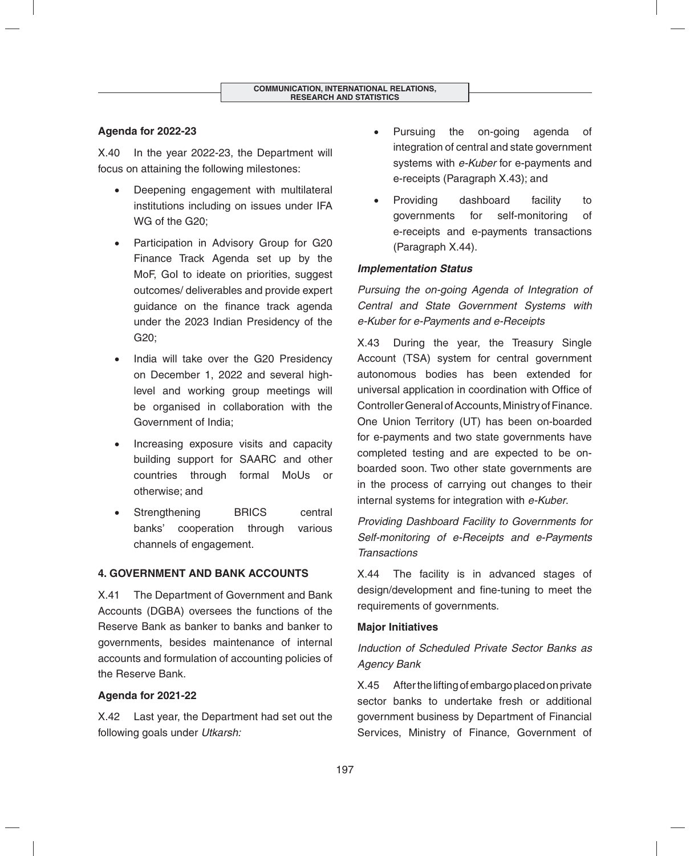# **Agenda for 2022-23**

X.40 In the year 2022-23, the Department will focus on attaining the following milestones:

- Deepening engagement with multilateral institutions including on issues under IFA WG of the G20;
- Participation in Advisory Group for G20 Finance Track Agenda set up by the MoF. GoI to ideate on priorities, suggest outcomes/ deliverables and provide expert quidance on the finance track agenda under the 2023 Indian Presidency of the G20;
- India will take over the G20 Presidency on December 1, 2022 and several highlevel and working group meetings will be organised in collaboration with the Government of India;
- Increasing exposure visits and capacity building support for SAARC and other countries through formal MoUs or otherwise; and
- Strengthening BRICS central banks' cooperation through various channels of engagement.

# **4. GOVERNMENT AND BANK ACCOUNTS**

X.41 The Department of Government and Bank Accounts (DGBA) oversees the functions of the Reserve Bank as banker to banks and banker to governments, besides maintenance of internal accounts and formulation of accounting policies of the Reserve Bank.

### **Agenda for 2021-22**

X.42 Last year, the Department had set out the following goals under *Utkarsh:*

- Pursuing the on-going agenda of integration of central and state government systems with *e-Kuber* for e-payments and e-receipts (Paragraph X.43); and
- Providing dashboard facility to governments for self-monitoring of e-receipts and e-payments transactions (Paragraph X.44).

### *Implementation Status*

*Pursuing the on-going Agenda of Integration of Central and State Government Systems with e-Kuber for e-Payments and e-Receipts*

X.43 During the year, the Treasury Single Account (TSA) system for central government autonomous bodies has been extended for universal application in coordination with Office of Controller General of Accounts, Ministry of Finance. One Union Territory (UT) has been on-boarded for e-payments and two state governments have completed testing and are expected to be onboarded soon. Two other state governments are in the process of carrying out changes to their internal systems for integration with *e-Kuber*.

*Providing Dashboard Facility to Governments for Self-monitoring of e-Receipts and e-Payments Transactions*

X.44 The facility is in advanced stages of design/development and fine-tuning to meet the requirements of governments.

# **Major Initiatives**

# *Induction of Scheduled Private Sector Banks as Agency Bank*

X.45 After the lifting of embargo placed on private sector banks to undertake fresh or additional government business by Department of Financial Services, Ministry of Finance, Government of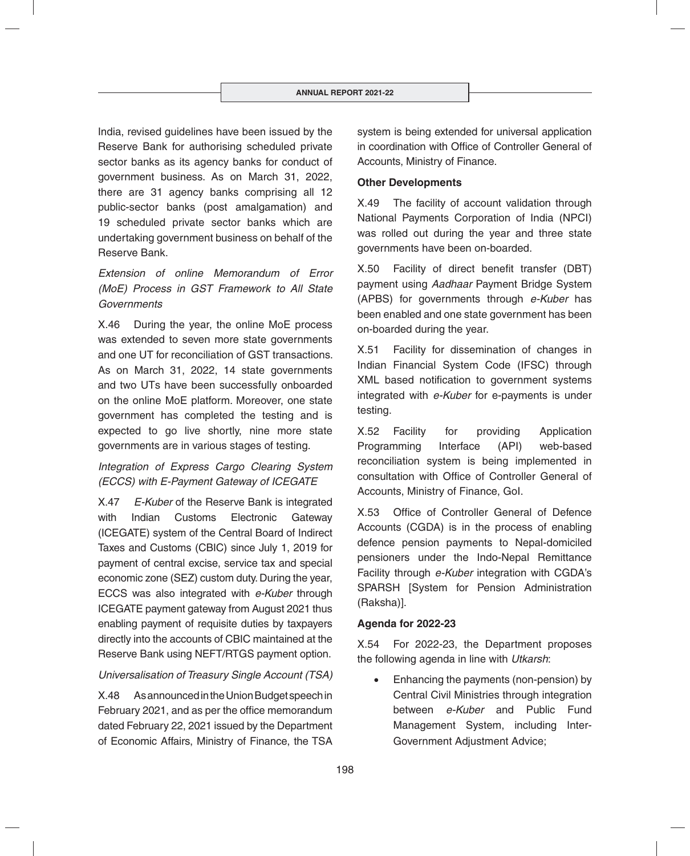India, revised guidelines have been issued by the Reserve Bank for authorising scheduled private sector banks as its agency banks for conduct of government business. As on March 31, 2022, there are 31 agency banks comprising all 12 public-sector banks (post amalgamation) and 19 scheduled private sector banks which are undertaking government business on behalf of the Reserve Bank.

# *Extension of online Memorandum of Error (MoE) Process in GST Framework to All State Governments*

X.46 During the year, the online MoE process was extended to seven more state governments and one UT for reconciliation of GST transactions. As on March 31, 2022, 14 state governments and two UTs have been successfully onboarded on the online MoE platform. Moreover, one state government has completed the testing and is expected to go live shortly, nine more state governments are in various stages of testing.

# *Integration of Express Cargo Clearing System (ECCS) with E-Payment Gateway of ICEGATE*

X.47 *E-Kuber* of the Reserve Bank is integrated with Indian Customs Electronic Gateway (ICEGATE) system of the Central Board of Indirect Taxes and Customs (CBIC) since July 1, 2019 for payment of central excise, service tax and special economic zone (SEZ) custom duty. During the year, ECCS was also integrated with *e-Kuber* through ICEGATE payment gateway from August 2021 thus enabling payment of requisite duties by taxpayers directly into the accounts of CBIC maintained at the Reserve Bank using NEFT/RTGS payment option.

# *Universalisation of Treasury Single Account (TSA)*

X.48 As announced in the Union Budget speech in February 2021, and as per the office memorandum dated February 22, 2021 issued by the Department of Economic Affairs, Ministry of Finance, the TSA

system is being extended for universal application in coordination with Office of Controller General of Accounts, Ministry of Finance.

# **Other Developments**

X.49 The facility of account validation through National Payments Corporation of India (NPCI) was rolled out during the year and three state governments have been on-boarded.

X.50 Facility of direct benefit transfer (DBT) payment using *Aadhaar* Payment Bridge System (APBS) for governments through *e-Kuber* has been enabled and one state government has been on-boarded during the year.

X.51 Facility for dissemination of changes in Indian Financial System Code (IFSC) through XML based notification to government systems integrated with *e-Kuber* for e-payments is under testing.

X.52 Facility for providing Application Programming Interface (API) web-based reconciliation system is being implemented in consultation with Office of Controller General of Accounts, Ministry of Finance, GoI.

X.53 Office of Controller General of Defence Accounts (CGDA) is in the process of enabling defence pension payments to Nepal-domiciled pensioners under the Indo-Nepal Remittance Facility through *e-Kuber* integration with CGDA's SPARSH [System for Pension Administration (Raksha)].

# **Agenda for 2022-23**

X.54 For 2022-23, the Department proposes the following agenda in line with *Utkarsh*:

• Enhancing the payments (non-pension) by Central Civil Ministries through integration between *e-Kuber* and Public Fund Management System, including Inter-Government Adjustment Advice;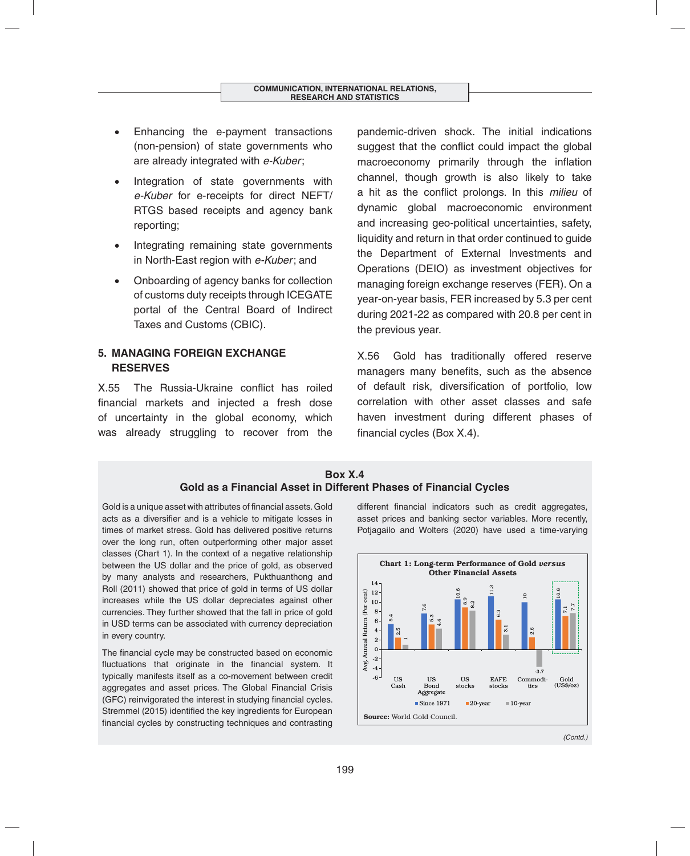- Enhancing the e-payment transactions (non-pension) of state governments who are already integrated with *e-Kuber*;
- Integration of state governments with *e-Kuber* for e-receipts for direct NEFT/ RTGS based receipts and agency bank reporting;
- Integrating remaining state governments in North-East region with *e-Kuber*; and
- Onboarding of agency banks for collection of customs duty receipts through ICEGATE portal of the Central Board of Indirect Taxes and Customs (CBIC).

# **5. MANAGING FOREIGN EXCHANGE RESERVES**

X.55 The Russia-Ukraine conflict has roiled financial markets and injected a fresh dose of uncertainty in the global economy, which was already struggling to recover from the pandemic-driven shock. The initial indications suggest that the conflict could impact the global macroeconomy primarily through the inflation channel, though growth is also likely to take a hit as the conflict prolongs. In this *milieu* of dynamic global macroeconomic environment and increasing geo-political uncertainties, safety, liquidity and return in that order continued to guide the Department of External Investments and Operations (DEIO) as investment objectives for managing foreign exchange reserves (FER). On a year-on-year basis, FER increased by 5.3 per cent during 2021-22 as compared with 20.8 per cent in the previous year.

X.56 Gold has traditionally offered reserve managers many benefits, such as the absence of default risk, diversification of portfolio, low correlation with other asset classes and safe haven investment during different phases of financial cycles  $(Box X.4)$ .

# **Box X.4 Gold as a Financial Asset in Different Phases of Financial Cycles**

Gold is a unique asset with attributes of financial assets. Gold acts as a diversifier and is a vehicle to mitigate losses in times of market stress. Gold has delivered positive returns over the long run, often outperforming other major asset classes (Chart 1). In the context of a negative relationship between the US dollar and the price of gold, as observed by many analysts and researchers, Pukthuanthong and Roll (2011) showed that price of gold in terms of US dollar increases while the US dollar depreciates against other currencies. They further showed that the fall in price of gold in USD terms can be associated with currency depreciation in every country.

The financial cycle may be constructed based on economic fluctuations that originate in the financial system. It typically manifests itself as a co-movement between credit aggregates and asset prices. The Global Financial Crisis (GFC) reinvigorated the interest in studying financial cycles. Stremmel (2015) identified the key ingredients for European financial cycles by constructing techniques and contrasting different financial indicators such as credit aggregates, asset prices and banking sector variables. More recently, Potjagailo and Wolters (2020) have used a time-varying

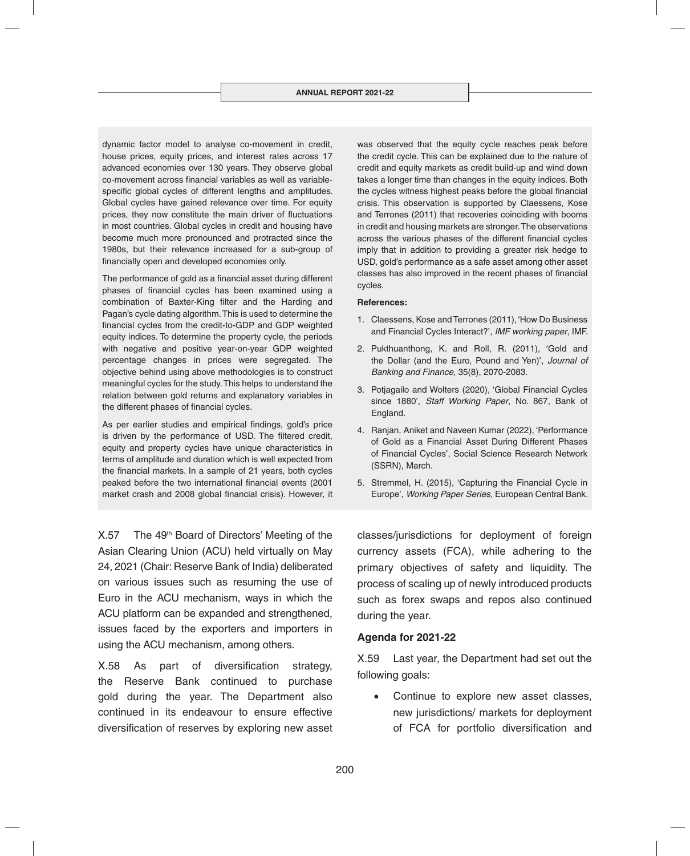dynamic factor model to analyse co-movement in credit, house prices, equity prices, and interest rates across 17 advanced economies over 130 years. They observe global co-movement across financial variables as well as variablespecific global cycles of different lengths and amplitudes. Global cycles have gained relevance over time. For equity prices, they now constitute the main driver of fluctuations in most countries. Global cycles in credit and housing have become much more pronounced and protracted since the 1980s, but their relevance increased for a sub-group of financially open and developed economies only.

The performance of gold as a financial asset during different phases of financial cycles has been examined using a combination of Baxter-King filter and the Harding and Pagan's cycle dating algorithm. This is used to determine the financial cycles from the credit-to-GDP and GDP weighted equity indices. To determine the property cycle, the periods with negative and positive year-on-year GDP weighted percentage changes in prices were segregated. The objective behind using above methodologies is to construct meaningful cycles for the study. This helps to understand the relation between gold returns and explanatory variables in the different phases of financial cycles.

As per earlier studies and empirical findings, gold's price is driven by the performance of USD. The filtered credit, equity and property cycles have unique characteristics in terms of amplitude and duration which is well expected from the financial markets. In a sample of 21 years, both cycles peaked before the two international financial events (2001 market crash and 2008 global financial crisis). However, it

X.57 The 49<sup>th</sup> Board of Directors' Meeting of the Asian Clearing Union (ACU) held virtually on May 24, 2021 (Chair: Reserve Bank of India) deliberated on various issues such as resuming the use of Euro in the ACU mechanism, ways in which the ACU platform can be expanded and strengthened, issues faced by the exporters and importers in using the ACU mechanism, among others.

X.58 As part of diversification strategy, the Reserve Bank continued to purchase gold during the year. The Department also continued in its endeavour to ensure effective diversification of reserves by exploring new asset was observed that the equity cycle reaches peak before the credit cycle. This can be explained due to the nature of credit and equity markets as credit build-up and wind down takes a longer time than changes in the equity indices. Both the cycles witness highest peaks before the global financial crisis. This observation is supported by Claessens, Kose and Terrones (2011) that recoveries coinciding with booms in credit and housing markets are stronger. The observations across the various phases of the different financial cycles imply that in addition to providing a greater risk hedge to USD, gold's performance as a safe asset among other asset classes has also improved in the recent phases of financial cycles.

#### **References:**

- 1. Claessens, Kose and Terrones (2011), 'How Do Business and Financial Cycles Interact?', *IMF working paper*, IMF.
- 2. Pukthuanthong, K. and Roll, R. (2011), 'Gold and the Dollar (and the Euro, Pound and Yen)', *Journal of Banking and Finance*, 35(8), 2070-2083.
- 3. Potjagailo and Wolters (2020), 'Global Financial Cycles since 1880', *Staff Working Paper*, No. 867, Bank of England.
- 4. Ranjan, Aniket and Naveen Kumar (2022), 'Performance of Gold as a Financial Asset During Different Phases of Financial Cycles', Social Science Research Network (SSRN), March.
- 5. Stremmel, H. (2015), 'Capturing the Financial Cycle in Europe', *Working Paper Series*, European Central Bank.

classes/jurisdictions for deployment of foreign currency assets (FCA), while adhering to the primary objectives of safety and liquidity. The process of scaling up of newly introduced products such as forex swaps and repos also continued during the year.

### **Agenda for 2021-22**

X.59 Last year, the Department had set out the following goals:

 Continue to explore new asset classes, new jurisdictions/ markets for deployment of FCA for portfolio diversification and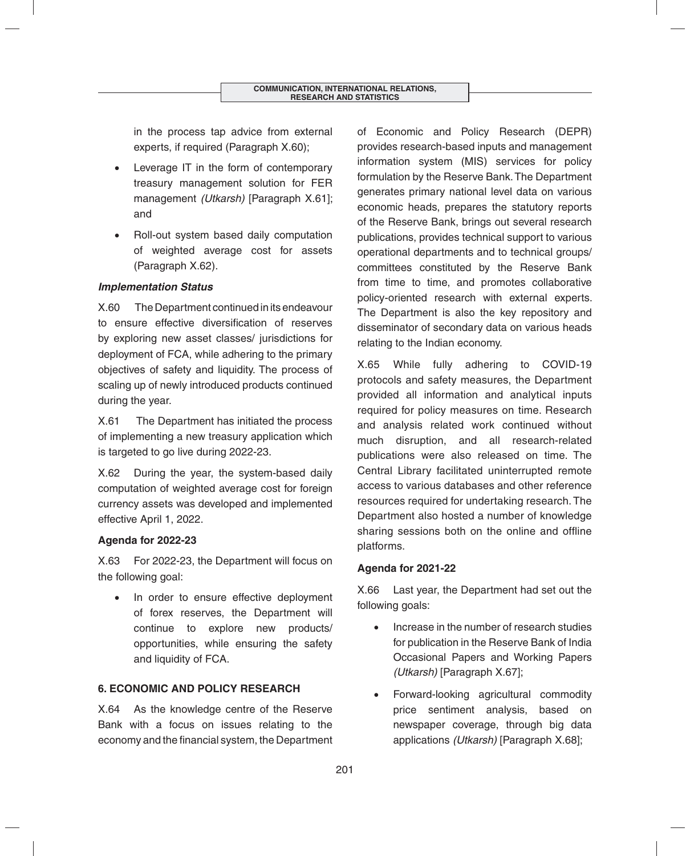in the process tap advice from external experts, if required (Paragraph X.60);

- Leverage IT in the form of contemporary treasury management solution for FER management *(Utkarsh)* [Paragraph X.61]; and
- Roll-out system based daily computation of weighted average cost for assets (Paragraph X.62).

# *Implementation Status*

X.60 The Department continued in its endeavour to ensure effective diversification of reserves by exploring new asset classes/ jurisdictions for deployment of FCA, while adhering to the primary objectives of safety and liquidity. The process of scaling up of newly introduced products continued during the year.

X.61 The Department has initiated the process of implementing a new treasury application which is targeted to go live during 2022-23.

X.62 During the year, the system-based daily computation of weighted average cost for foreign currency assets was developed and implemented effective April 1, 2022.

# **Agenda for 2022-23**

X.63 For 2022-23, the Department will focus on the following goal:

 In order to ensure effective deployment of forex reserves, the Department will continue to explore new products/ opportunities, while ensuring the safety and liquidity of FCA.

# **6. ECONOMIC AND POLICY RESEARCH**

X.64 As the knowledge centre of the Reserve Bank with a focus on issues relating to the economy and the financial system, the Department of Economic and Policy Research (DEPR) provides research-based inputs and management information system (MIS) services for policy formulation by the Reserve Bank. The Department generates primary national level data on various economic heads, prepares the statutory reports of the Reserve Bank, brings out several research publications, provides technical support to various operational departments and to technical groups/ committees constituted by the Reserve Bank from time to time, and promotes collaborative policy-oriented research with external experts. The Department is also the key repository and disseminator of secondary data on various heads relating to the Indian economy.

X.65 While fully adhering to COVID-19 protocols and safety measures, the Department provided all information and analytical inputs required for policy measures on time. Research and analysis related work continued without much disruption, and all research-related publications were also released on time. The Central Library facilitated uninterrupted remote access to various databases and other reference resources required for undertaking research. The Department also hosted a number of knowledge sharing sessions both on the online and offline platforms.

### **Agenda for 2021-22**

X.66 Last year, the Department had set out the following goals:

- Increase in the number of research studies for publication in the Reserve Bank of India Occasional Papers and Working Papers *(Utkarsh)* [Paragraph X.67];
- Forward-looking agricultural commodity price sentiment analysis, based on newspaper coverage, through big data applications *(Utkarsh)* [Paragraph X.68];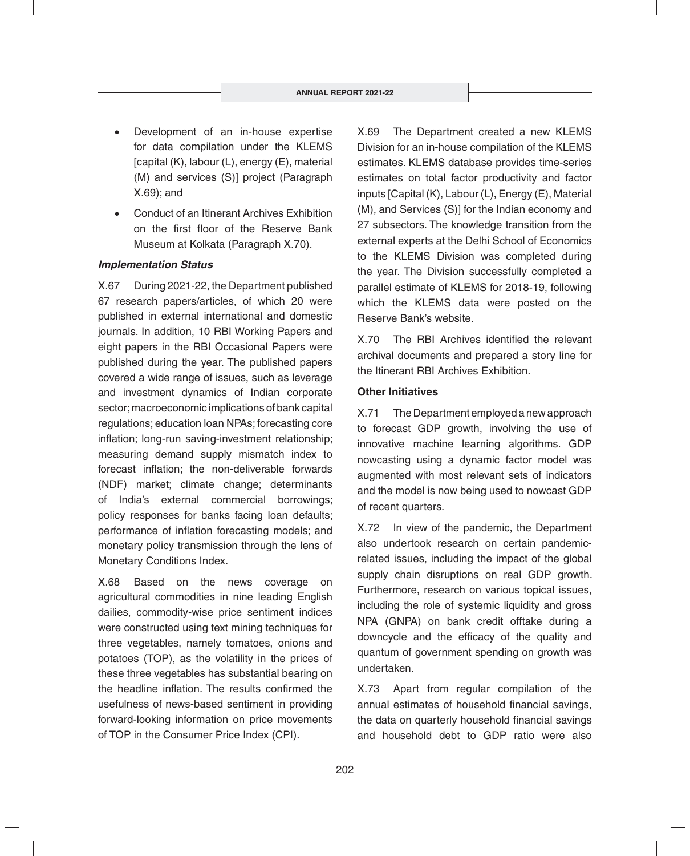- Development of an in-house expertise for data compilation under the KLEMS [capital (K), labour (L), energy (E), material (M) and services (S)] project (Paragraph X.69); and
- Conduct of an Itinerant Archives Exhibition on the first floor of the Reserve Bank Museum at Kolkata (Paragraph X.70).

# *Implementation Status*

X.67 During 2021-22, the Department published 67 research papers/articles, of which 20 were published in external international and domestic journals. In addition, 10 RBI Working Papers and eight papers in the RBI Occasional Papers were published during the year. The published papers covered a wide range of issues, such as leverage and investment dynamics of Indian corporate sector; macroeconomic implications of bank capital regulations; education loan NPAs; forecasting core inflation; long-run saving-investment relationship; measuring demand supply mismatch index to forecast inflation; the non-deliverable forwards (NDF) market; climate change; determinants of India's external commercial borrowings; policy responses for banks facing loan defaults; performance of inflation forecasting models; and monetary policy transmission through the lens of Monetary Conditions Index.

X.68 Based on the news coverage on agricultural commodities in nine leading English dailies, commodity-wise price sentiment indices were constructed using text mining techniques for three vegetables, namely tomatoes, onions and potatoes (TOP), as the volatility in the prices of these three vegetables has substantial bearing on the headline inflation. The results confirmed the usefulness of news-based sentiment in providing forward-looking information on price movements of TOP in the Consumer Price Index (CPI).

X.69 The Department created a new KLEMS Division for an in-house compilation of the KLEMS estimates. KLEMS database provides time-series estimates on total factor productivity and factor inputs [Capital (K), Labour (L), Energy (E), Material (M), and Services (S)] for the Indian economy and 27 subsectors. The knowledge transition from the external experts at the Delhi School of Economics to the KLEMS Division was completed during the year. The Division successfully completed a parallel estimate of KLEMS for 2018-19, following which the KLEMS data were posted on the Reserve Bank's website.

X.70 The RBI Archives identified the relevant archival documents and prepared a story line for the Itinerant RBI Archives Exhibition.

### **Other Initiatives**

X.71 The Department employed a new approach to forecast GDP growth, involving the use of innovative machine learning algorithms. GDP nowcasting using a dynamic factor model was augmented with most relevant sets of indicators and the model is now being used to nowcast GDP of recent quarters.

X.72 In view of the pandemic, the Department also undertook research on certain pandemicrelated issues, including the impact of the global supply chain disruptions on real GDP growth. Furthermore, research on various topical issues, including the role of systemic liquidity and gross NPA (GNPA) on bank credit offtake during a downcycle and the efficacy of the quality and quantum of government spending on growth was undertaken.

X.73 Apart from regular compilation of the annual estimates of household financial savings, the data on quarterly household financial savings and household debt to GDP ratio were also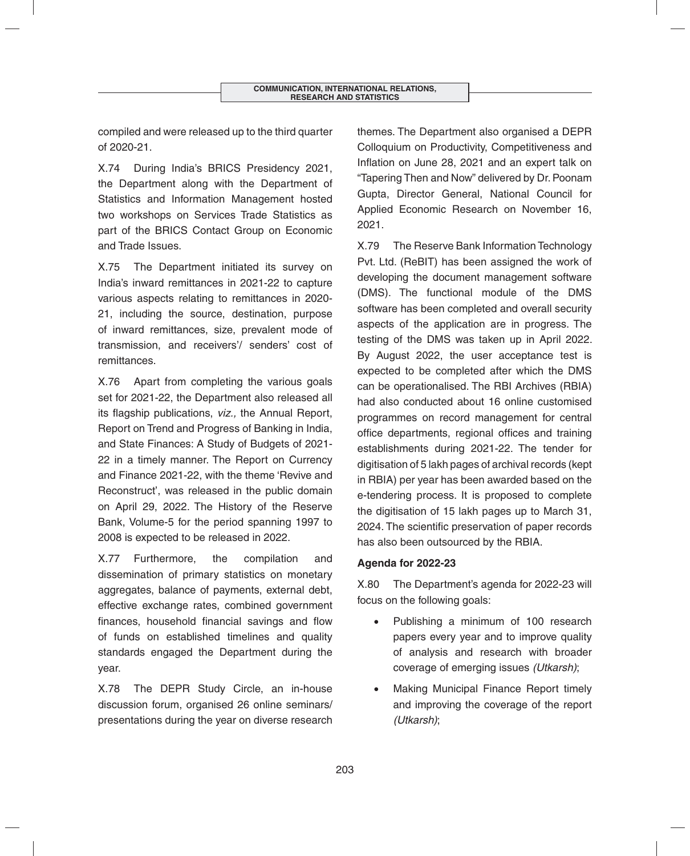compiled and were released up to the third quarter of 2020-21.

X.74 During India's BRICS Presidency 2021, the Department along with the Department of Statistics and Information Management hosted two workshops on Services Trade Statistics as part of the BRICS Contact Group on Economic and Trade Issues.

X.75 The Department initiated its survey on India's inward remittances in 2021-22 to capture various aspects relating to remittances in 2020- 21, including the source, destination, purpose of inward remittances, size, prevalent mode of transmission, and receivers'/ senders' cost of remittances.

X.76 Apart from completing the various goals set for 2021-22, the Department also released all its flagship publications, *viz.*, the Annual Report, Report on Trend and Progress of Banking in India, and State Finances: A Study of Budgets of 2021- 22 in a timely manner. The Report on Currency and Finance 2021-22, with the theme 'Revive and Reconstruct', was released in the public domain on April 29, 2022. The History of the Reserve Bank, Volume-5 for the period spanning 1997 to 2008 is expected to be released in 2022.

X.77 Furthermore, the compilation and dissemination of primary statistics on monetary aggregates, balance of payments, external debt, effective exchange rates, combined government finances, household financial savings and flow of funds on established timelines and quality standards engaged the Department during the year.

X.78 The DEPR Study Circle, an in-house discussion forum, organised 26 online seminars/ presentations during the year on diverse research

themes. The Department also organised a DEPR Colloquium on Productivity, Competitiveness and Inflation on June 28, 2021 and an expert talk on "Tapering Then and Now" delivered by Dr. Poonam Gupta, Director General, National Council for Applied Economic Research on November 16, 2021.

X.79 The Reserve Bank Information Technology Pvt. Ltd. (ReBIT) has been assigned the work of developing the document management software (DMS). The functional module of the DMS software has been completed and overall security aspects of the application are in progress. The testing of the DMS was taken up in April 2022. By August 2022, the user acceptance test is expected to be completed after which the DMS can be operationalised. The RBI Archives (RBIA) had also conducted about 16 online customised programmes on record management for central office departments, regional offices and training establishments during 2021-22. The tender for digitisation of 5 lakh pages of archival records (kept in RBIA) per year has been awarded based on the e-tendering process. It is proposed to complete the digitisation of 15 lakh pages up to March 31, 2024. The scientific preservation of paper records has also been outsourced by the RBIA.

# **Agenda for 2022-23**

X.80 The Department's agenda for 2022-23 will focus on the following goals:

- Publishing a minimum of 100 research papers every year and to improve quality of analysis and research with broader coverage of emerging issues *(Utkarsh)*;
- Making Municipal Finance Report timely and improving the coverage of the report *(Utkarsh)*;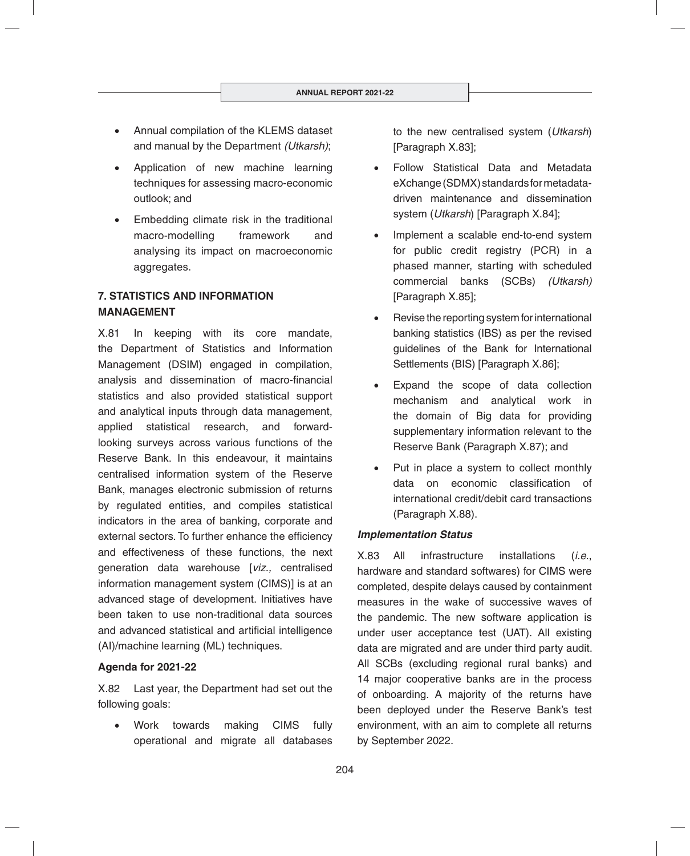- Annual compilation of the KLEMS dataset and manual by the Department *(Utkarsh)*;
- Application of new machine learning techniques for assessing macro-economic outlook; and
- Embedding climate risk in the traditional macro-modelling framework and analysing its impact on macroeconomic aggregates.

# **7. STATISTICS AND INFORMATION MANAGEMENT**

X.81 In keeping with its core mandate, the Department of Statistics and Information Management (DSIM) engaged in compilation, analysis and dissemination of macro-financial statistics and also provided statistical support and analytical inputs through data management, applied statistical research, and forwardlooking surveys across various functions of the Reserve Bank. In this endeavour, it maintains centralised information system of the Reserve Bank, manages electronic submission of returns by regulated entities, and compiles statistical indicators in the area of banking, corporate and external sectors. To further enhance the efficiency and effectiveness of these functions, the next generation data warehouse [*viz.,* centralised information management system (CIMS)] is at an advanced stage of development. Initiatives have been taken to use non-traditional data sources and advanced statistical and artificial intelligence (AI)/machine learning (ML) techniques.

# **Agenda for 2021-22**

X.82 Last year, the Department had set out the following goals:

 Work towards making CIMS fully operational and migrate all databases to the new centralised system (*Utkarsh*) [Paragraph X.83];

- Follow Statistical Data and Metadata eXchange (SDMX) standards for metadatadriven maintenance and dissemination system (*Utkarsh*) [Paragraph X.84];
- Implement a scalable end-to-end system for public credit registry (PCR) in a phased manner, starting with scheduled commercial banks (SCBs) *(Utkarsh)* [Paragraph X.85];
- Revise the reporting system for international banking statistics (IBS) as per the revised guidelines of the Bank for International Settlements (BIS) [Paragraph X.86];
- Expand the scope of data collection mechanism and analytical work in the domain of Big data for providing supplementary information relevant to the Reserve Bank (Paragraph X.87); and
- Put in place a system to collect monthly data on economic classification of international credit/debit card transactions (Paragraph X.88).

# *Implementation Status*

X.83 All infrastructure installations (*i.e.*, hardware and standard softwares) for CIMS were completed, despite delays caused by containment measures in the wake of successive waves of the pandemic. The new software application is under user acceptance test (UAT). All existing data are migrated and are under third party audit. All SCBs (excluding regional rural banks) and 14 major cooperative banks are in the process of onboarding. A majority of the returns have been deployed under the Reserve Bank's test environment, with an aim to complete all returns by September 2022.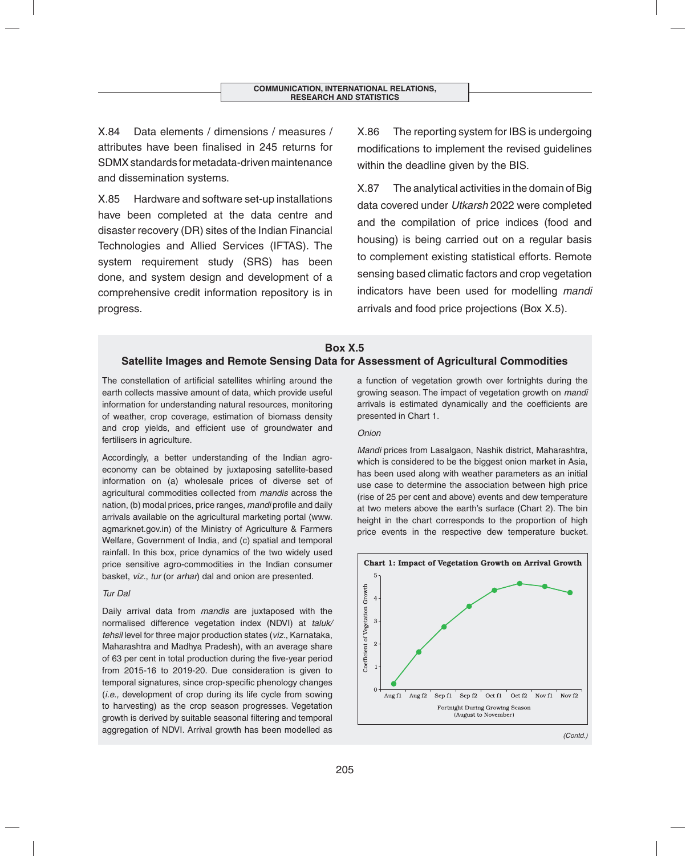X.84 Data elements / dimensions / measures / attributes have been finalised in 245 returns for SDMX standards for metadata-driven maintenance and dissemination systems.

X.85 Hardware and software set-up installations have been completed at the data centre and disaster recovery (DR) sites of the Indian Financial Technologies and Allied Services (IFTAS). The system requirement study (SRS) has been done, and system design and development of a comprehensive credit information repository is in progress.

X.86 The reporting system for IBS is undergoing modifications to implement the revised quidelines within the deadline given by the BIS.

X.87 The analytical activities in the domain of Big data covered under *Utkarsh* 2022 were completed and the compilation of price indices (food and housing) is being carried out on a regular basis to complement existing statistical efforts. Remote sensing based climatic factors and crop vegetation indicators have been used for modelling *mandi* arrivals and food price projections (Box X.5).

# **Box X.5 Satellite Images and Remote Sensing Data for Assessment of Agricultural Commodities**

The constellation of artificial satellites whirling around the earth collects massive amount of data, which provide useful information for understanding natural resources, monitoring of weather, crop coverage, estimation of biomass density and crop yields, and efficient use of groundwater and fertilisers in agriculture.

Accordingly, a better understanding of the Indian agroeconomy can be obtained by juxtaposing satellite-based information on (a) wholesale prices of diverse set of agricultural commodities collected from *mandis* across the nation, (b) modal prices, price ranges, *mandi* profile and daily arrivals available on the agricultural marketing portal (www. agmarknet.gov.in) of the Ministry of Agriculture & Farmers Welfare, Government of India, and (c) spatial and temporal rainfall. In this box, price dynamics of the two widely used price sensitive agro-commodities in the Indian consumer basket, *viz.*, *tur* (or *arhar*) dal and onion are presented.

### *Tur Dal*

Daily arrival data from *mandis* are juxtaposed with the normalised difference vegetation index (NDVI) at *taluk/ tehsil* level for three major production states (*viz.*, Karnataka, Maharashtra and Madhya Pradesh), with an average share of 63 per cent in total production during the five-year period from 2015-16 to 2019-20. Due consideration is given to temporal signatures, since crop-specific phenology changes (*i.e.,* development of crop during its life cycle from sowing to harvesting) as the crop season progresses. Vegetation growth is derived by suitable seasonal filtering and temporal aggregation of NDVI. Arrival growth has been modelled as

a function of vegetation growth over fortnights during the growing season. The impact of vegetation growth on *mandi* arrivals is estimated dynamically and the coefficients are presented in Chart 1.

#### *Onion*

*Mandi* prices from Lasalgaon, Nashik district, Maharashtra, which is considered to be the biggest onion market in Asia. has been used along with weather parameters as an initial use case to determine the association between high price (rise of 25 per cent and above) events and dew temperature at two meters above the earth's surface (Chart 2). The bin height in the chart corresponds to the proportion of high price events in the respective dew temperature bucket.



*(Contd.)*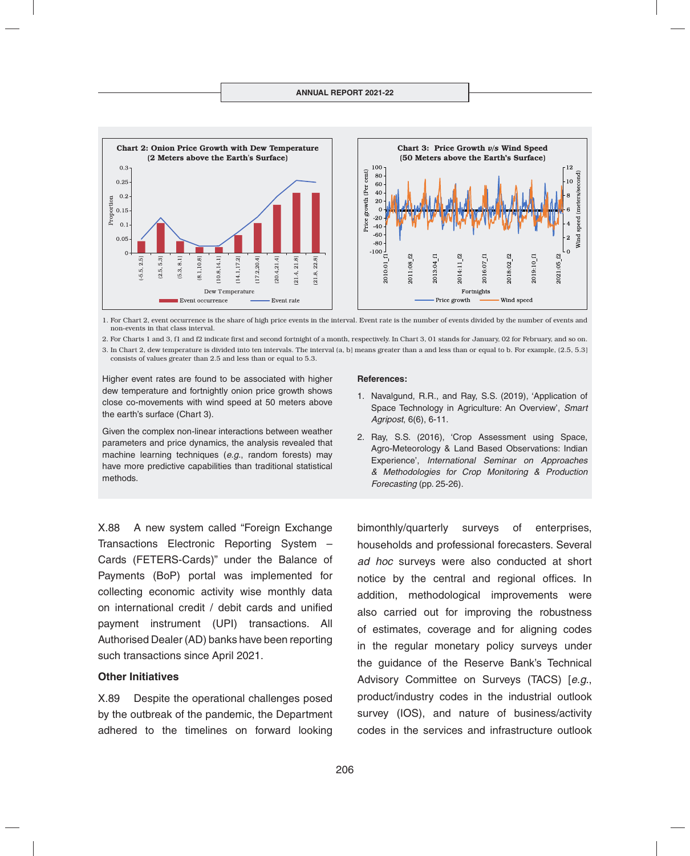

1. For Chart 2, event occurrence is the share of high price events in the interval. Event rate is the number of events divided by the number of events and non-events in that class interval.

2. For Charts 1 and 3, f1 and f2 indicate first and second fortnight of a month, respectively. In Chart 3, 01 stands for January, 02 for February, and so on.

3. In Chart 2, dew temperature is divided into ten intervals. The interval (a, b] means greater than a and less than or equal to b. For example, (2.5, 5.3] consists of values greater than 2.5 and less than or equal to 5.3.

Higher event rates are found to be associated with higher dew temperature and fortnightly onion price growth shows close co-movements with wind speed at 50 meters above the earth's surface (Chart 3).

Given the complex non-linear interactions between weather parameters and price dynamics, the analysis revealed that machine learning techniques (*e.g.*, random forests) may have more predictive capabilities than traditional statistical methods.

X.88 A new system called "Foreign Exchange Transactions Electronic Reporting System – Cards (FETERS-Cards)" under the Balance of Payments (BoP) portal was implemented for collecting economic activity wise monthly data on international credit / debit cards and unified payment instrument (UPI) transactions. All Authorised Dealer (AD) banks have been reporting such transactions since April 2021.

### **Other Initiatives**

X.89 Despite the operational challenges posed by the outbreak of the pandemic, the Department adhered to the timelines on forward looking

#### **References:**

- 1. Navalgund, R.R., and Ray, S.S. (2019), 'Application of Space Technology in Agriculture: An Overview', *Smart Agripost*, 6(6), 6-11.
- 2. Ray, S.S. (2016), 'Crop Assessment using Space, Agro-Meteorology & Land Based Observations: Indian Experience', *International Seminar on Approaches & Methodologies for Crop Monitoring & Production Forecasting* (pp. 25-26).

bimonthly/quarterly surveys of enterprises, households and professional forecasters. Several *ad hoc* surveys were also conducted at short notice by the central and regional offices. In addition, methodological improvements were also carried out for improving the robustness of estimates, coverage and for aligning codes in the regular monetary policy surveys under the guidance of the Reserve Bank's Technical Advisory Committee on Surveys (TACS) [*e.g.*, product/industry codes in the industrial outlook survey (IOS), and nature of business/activity codes in the services and infrastructure outlook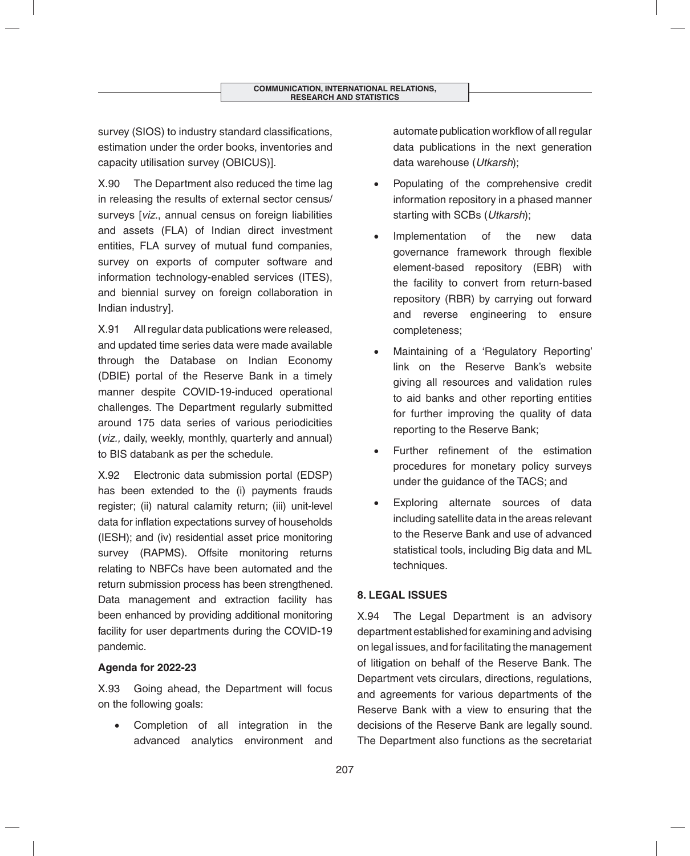survey (SIOS) to industry standard classifications, estimation under the order books, inventories and capacity utilisation survey (OBICUS)].

X.90 The Department also reduced the time lag in releasing the results of external sector census/ surveys [*viz.*, annual census on foreign liabilities and assets (FLA) of Indian direct investment entities, FLA survey of mutual fund companies, survey on exports of computer software and information technology-enabled services (ITES), and biennial survey on foreign collaboration in Indian industry].

X.91 All regular data publications were released, and updated time series data were made available through the Database on Indian Economy (DBIE) portal of the Reserve Bank in a timely manner despite COVID-19-induced operational challenges. The Department regularly submitted around 175 data series of various periodicities (*viz.,* daily, weekly, monthly, quarterly and annual) to BIS databank as per the schedule.

X.92 Electronic data submission portal (EDSP) has been extended to the (i) payments frauds register; (ii) natural calamity return; (iii) unit-level data for inflation expectations survey of households (IESH); and (iv) residential asset price monitoring survey (RAPMS). Offsite monitoring returns relating to NBFCs have been automated and the return submission process has been strengthened. Data management and extraction facility has been enhanced by providing additional monitoring facility for user departments during the COVID-19 pandemic.

# **Agenda for 2022-23**

X.93 Going ahead, the Department will focus on the following goals:

 Completion of all integration in the advanced analytics environment and automate publication workflow of all regular data publications in the next generation data warehouse (*Utkarsh*);

- Populating of the comprehensive credit information repository in a phased manner starting with SCBs (*Utkarsh*);
- Implementation of the new data governance framework through flexible element-based repository (EBR) with the facility to convert from return-based repository (RBR) by carrying out forward and reverse engineering to ensure completeness;
- Maintaining of a 'Regulatory Reporting' link on the Reserve Bank's website giving all resources and validation rules to aid banks and other reporting entities for further improving the quality of data reporting to the Reserve Bank;
- Further refinement of the estimation procedures for monetary policy surveys under the guidance of the TACS; and
- Exploring alternate sources of data including satellite data in the areas relevant to the Reserve Bank and use of advanced statistical tools, including Big data and ML techniques.

# **8. LEGAL ISSUES**

X.94 The Legal Department is an advisory department established for examining and advising on legal issues, and for facilitating the management of litigation on behalf of the Reserve Bank. The Department vets circulars, directions, regulations, and agreements for various departments of the Reserve Bank with a view to ensuring that the decisions of the Reserve Bank are legally sound. The Department also functions as the secretariat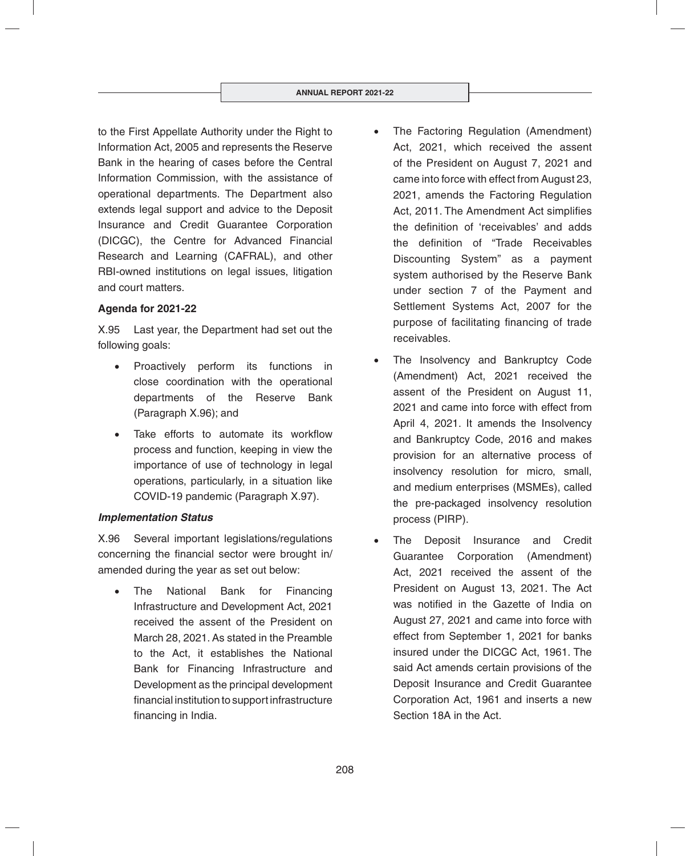to the First Appellate Authority under the Right to Information Act, 2005 and represents the Reserve Bank in the hearing of cases before the Central Information Commission, with the assistance of operational departments. The Department also extends legal support and advice to the Deposit Insurance and Credit Guarantee Corporation (DICGC), the Centre for Advanced Financial Research and Learning (CAFRAL), and other RBI-owned institutions on legal issues, litigation and court matters.

# **Agenda for 2021-22**

X.95 Last year, the Department had set out the following goals:

- Proactively perform its functions in close coordination with the operational departments of the Reserve Bank (Paragraph X.96); and
- Take efforts to automate its workflow process and function, keeping in view the importance of use of technology in legal operations, particularly, in a situation like COVID-19 pandemic (Paragraph X.97).

# *Implementation Status*

X.96 Several important legislations/regulations concerning the financial sector were brought in/ amended during the year as set out below:

 The National Bank for Financing Infrastructure and Development Act, 2021 received the assent of the President on March 28, 2021. As stated in the Preamble to the Act, it establishes the National Bank for Financing Infrastructure and Development as the principal development financial institution to support infrastructure financing in India.

- The Factoring Regulation (Amendment) Act, 2021, which received the assent of the President on August 7, 2021 and came into force with effect from August 23, 2021, amends the Factoring Regulation Act, 2011. The Amendment Act simplifies the definition of 'receivables' and adds the definition of "Trade Receivables Discounting System" as a payment system authorised by the Reserve Bank under section 7 of the Payment and Settlement Systems Act, 2007 for the purpose of facilitating financing of trade receivables.
- The Insolvency and Bankruptcy Code (Amendment) Act, 2021 received the assent of the President on August 11, 2021 and came into force with effect from April 4, 2021. It amends the Insolvency and Bankruptcy Code, 2016 and makes provision for an alternative process of insolvency resolution for micro, small, and medium enterprises (MSMEs), called the pre-packaged insolvency resolution process (PIRP).
- The Deposit Insurance and Credit Guarantee Corporation (Amendment) Act, 2021 received the assent of the President on August 13, 2021. The Act was notified in the Gazette of India on August 27, 2021 and came into force with effect from September 1, 2021 for banks insured under the DICGC Act, 1961. The said Act amends certain provisions of the Deposit Insurance and Credit Guarantee Corporation Act, 1961 and inserts a new Section 18A in the Act.